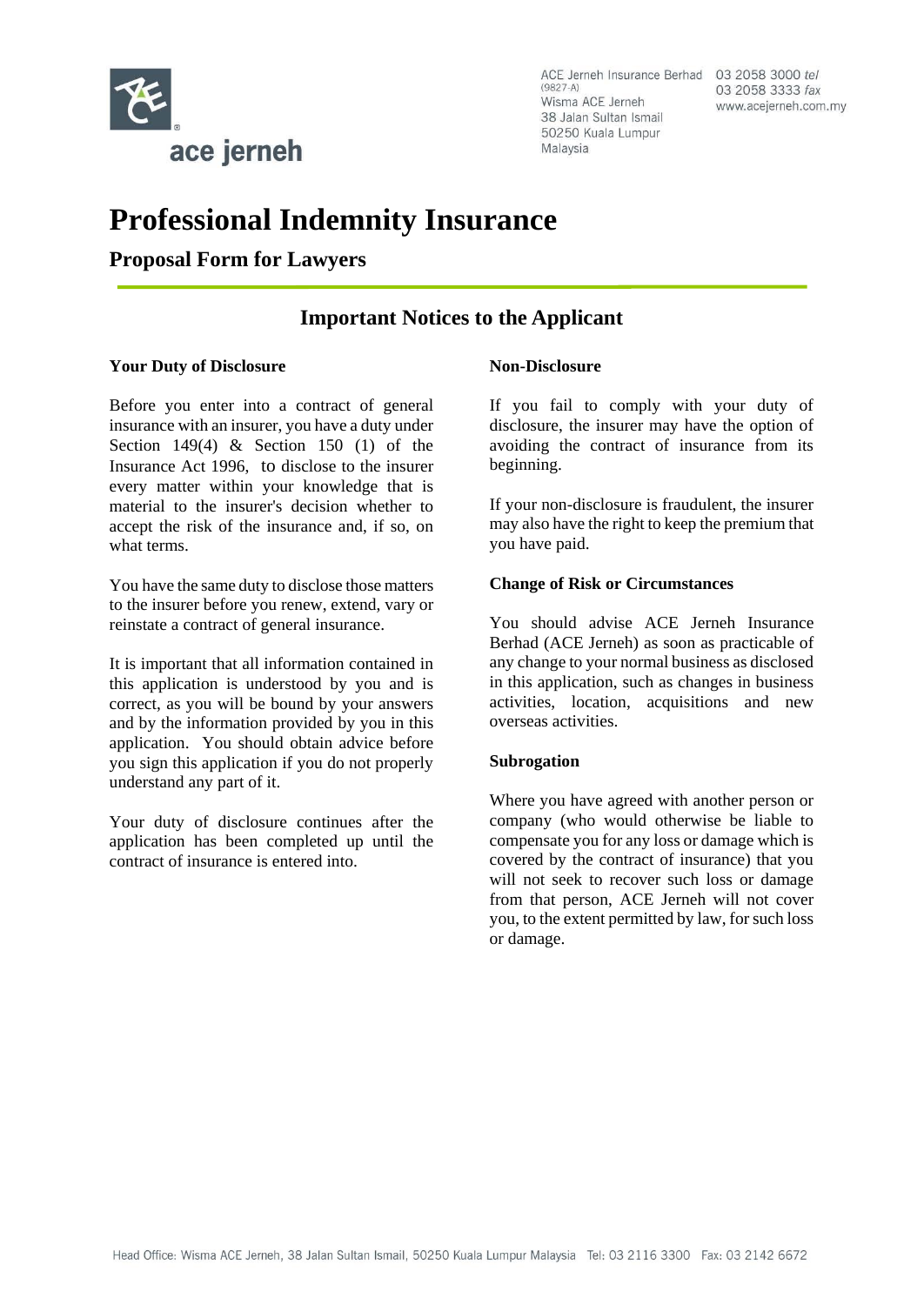

03 2058 3333 fax www.acejerneh.com.my

# **Professional Indemnity Insurance**

**Proposal Form for Lawyers** 

# **Important Notices to the Applicant**

### **Your Duty of Disclosure**

Before you enter into a contract of general insurance with an insurer, you have a duty under Section 149(4)  $\&$  Section 150 (1) of the Insurance Act 1996, to disclose to the insurer every matter within your knowledge that is material to the insurer's decision whether to accept the risk of the insurance and, if so, on what terms.

You have the same duty to disclose those matters to the insurer before you renew, extend, vary or reinstate a contract of general insurance.

It is important that all information contained in this application is understood by you and is correct, as you will be bound by your answers and by the information provided by you in this application. You should obtain advice before you sign this application if you do not properly understand any part of it.

Your duty of disclosure continues after the application has been completed up until the contract of insurance is entered into.

### **Non-Disclosure**

If you fail to comply with your duty of disclosure, the insurer may have the option of avoiding the contract of insurance from its beginning.

If your non-disclosure is fraudulent, the insurer may also have the right to keep the premium that you have paid.

### **Change of Risk or Circumstances**

You should advise ACE Jerneh Insurance Berhad (ACE Jerneh) as soon as practicable of any change to your normal business as disclosed in this application, such as changes in business activities, location, acquisitions and new overseas activities.

### **Subrogation**

Where you have agreed with another person or company (who would otherwise be liable to compensate you for any loss or damage which is covered by the contract of insurance) that you will not seek to recover such loss or damage from that person, ACE Jerneh will not cover you, to the extent permitted by law, for such loss or damage.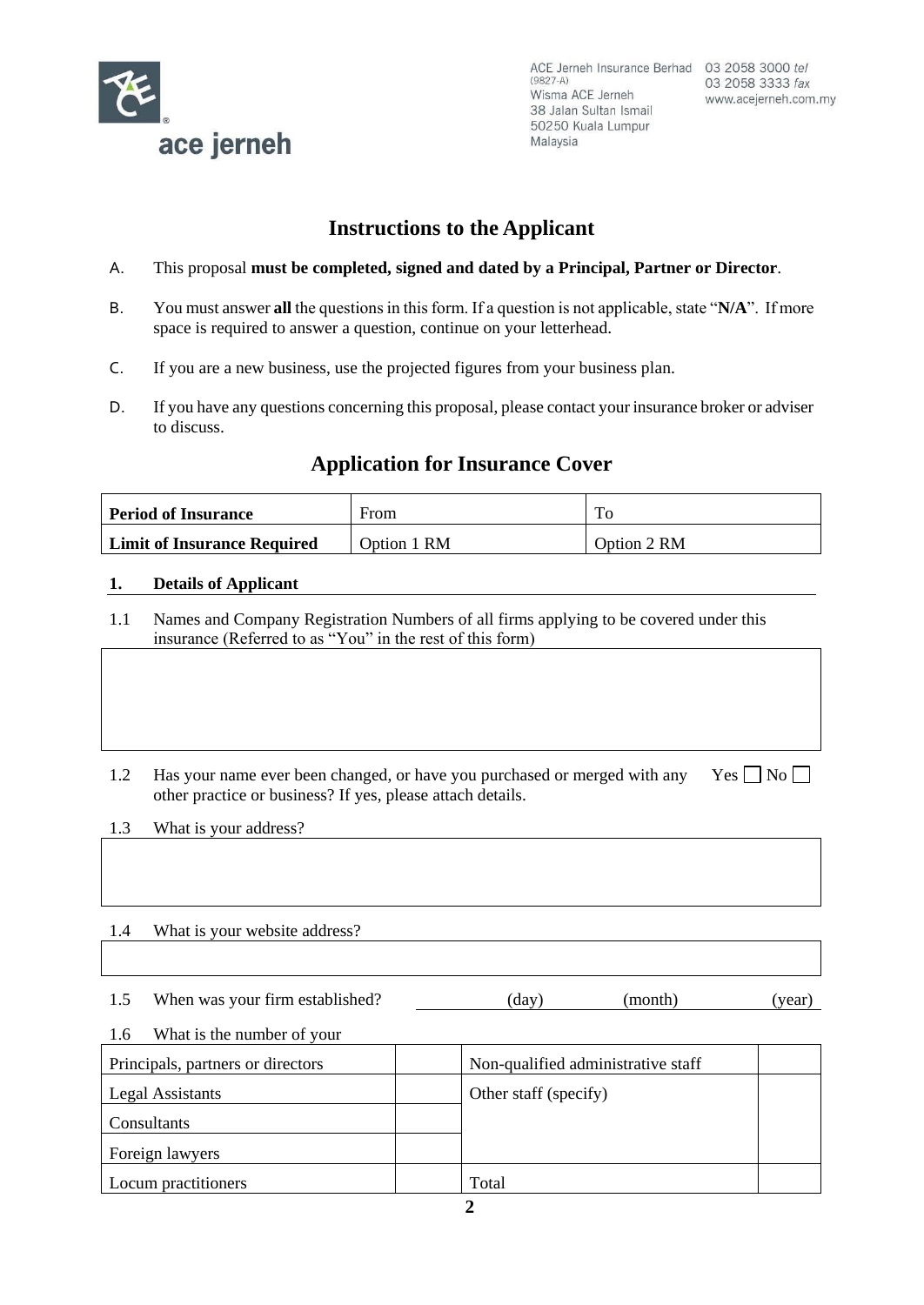

# **Instructions to the Applicant**

- A. This proposal **must be completed, signed and dated by a Principal, Partner or Director**.
- B. You must answer **all** the questions in this form. If a question is not applicable, state "**N/A**". If more space is required to answer a question, continue on your letterhead.
- C. If you are a new business, use the projected figures from your business plan.
- D. If you have any questions concerning this proposal, please contact your insurance broker or adviser to discuss.

# **Application for Insurance Cover**

| <b>Period of Insurance</b>         | From        |             |
|------------------------------------|-------------|-------------|
| <b>Limit of Insurance Required</b> | Option 1 RM | Option 2 RM |

### **1. Details of Applicant**

- 1.1 Names and Company Registration Numbers of all firms applying to be covered under this insurance (Referred to as "You" in the rest of this form)
- 1.2 Has your name ever been changed, or have you purchased or merged with any other practice or business? If yes, please attach details.  $Yes \Box No \Box$

1.3 What is your address?

- 1.4 What is your website address?
- 1.5 When was your firm established? (day) (month) (year)

# 1.6 What is the number of your

| Principals, partners or directors | Non-qualified administrative staff |  |
|-----------------------------------|------------------------------------|--|
| Legal Assistants                  | Other staff (specify)              |  |
| Consultants                       |                                    |  |
| Foreign lawyers                   |                                    |  |
| Locum practitioners               | Total                              |  |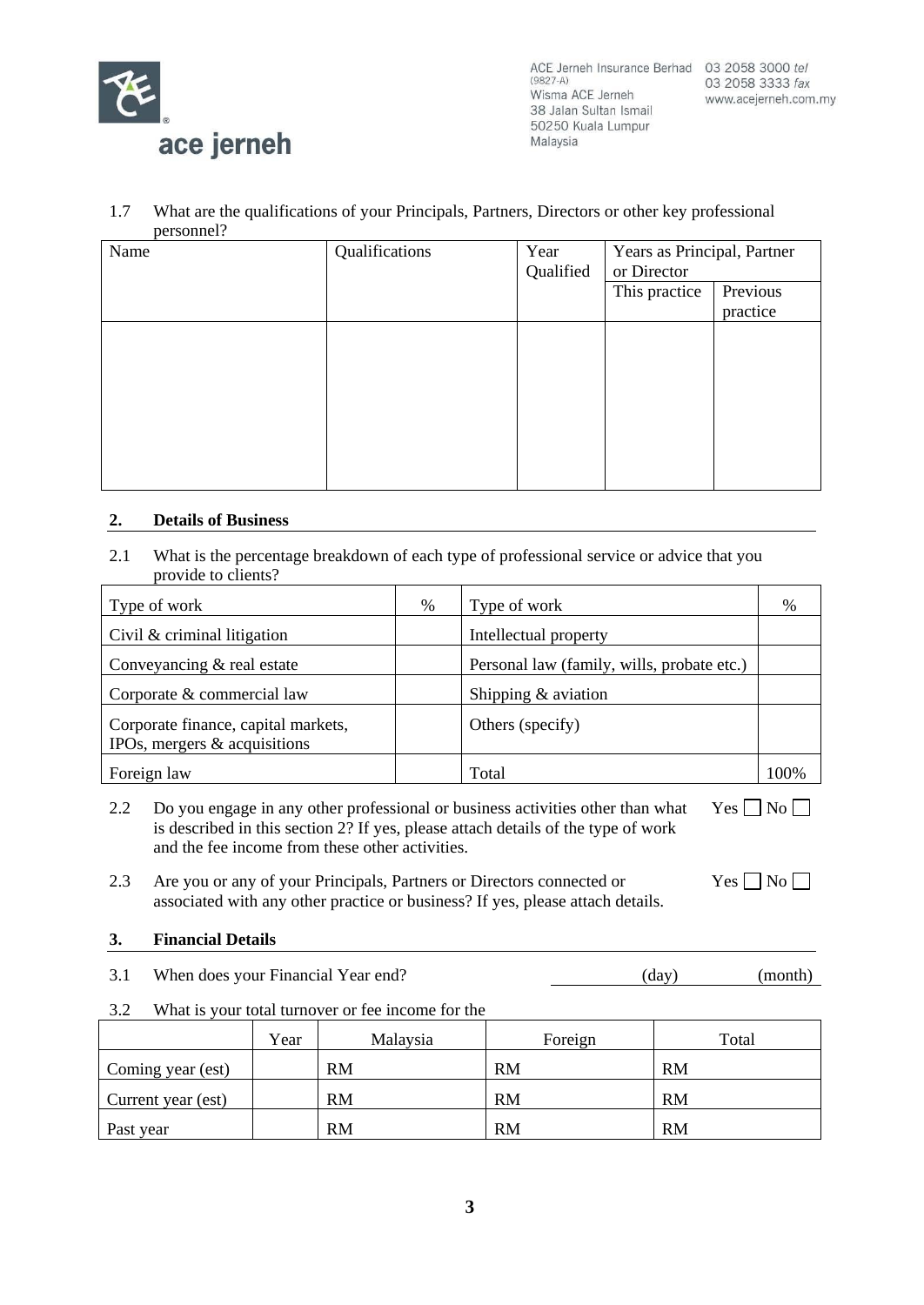

### 1.7 What are the qualifications of your Principals, Partners, Directors or other key professional personnel?

| Name | Qualifications | Year<br>Qualified | Years as Principal, Partner<br>or Director |                      |
|------|----------------|-------------------|--------------------------------------------|----------------------|
|      |                |                   | This practice                              | Previous<br>practice |
|      |                |                   |                                            |                      |
|      |                |                   |                                            |                      |
|      |                |                   |                                            |                      |
|      |                |                   |                                            |                      |

## **2. Details of Business**

2.1 What is the percentage breakdown of each type of professional service or advice that you provide to clients?

| Type of work                                                           | % | Type of work                               | %    |
|------------------------------------------------------------------------|---|--------------------------------------------|------|
| Civil $&$ criminal litigation                                          |   | Intellectual property                      |      |
| Conveyancing $&$ real estate                                           |   | Personal law (family, wills, probate etc.) |      |
| Corporate & commercial law                                             |   | Shipping & aviation                        |      |
| Corporate finance, capital markets,<br>IPOs, mergers $\&$ acquisitions |   | Others (specify)                           |      |
| Foreign law                                                            |   | Total                                      | 100% |

- 2.2 Do you engage in any other professional or business activities other than what is described in this section 2? If yes, please attach details of the type of work and the fee income from these other activities.  $Yes \Box No \Box$
- 2.3 Are you or any of your Principals, Partners or Directors connected or associated with any other practice or business? If yes, please attach details.

# **3. Financial Details**

- 3.1 When does your Financial Year end? (day) (month)
	-

 $Yes \Box No \Box$ 

3.2 What is your total turnover or fee income for the

|                    | Year | Malaysia  | Foreign   | Total     |
|--------------------|------|-----------|-----------|-----------|
| Coming year (est)  |      | <b>RM</b> | <b>RM</b> | <b>RM</b> |
| Current year (est) |      | <b>RM</b> | <b>RM</b> | <b>RM</b> |
| Past year          |      | <b>RM</b> | <b>RM</b> | <b>RM</b> |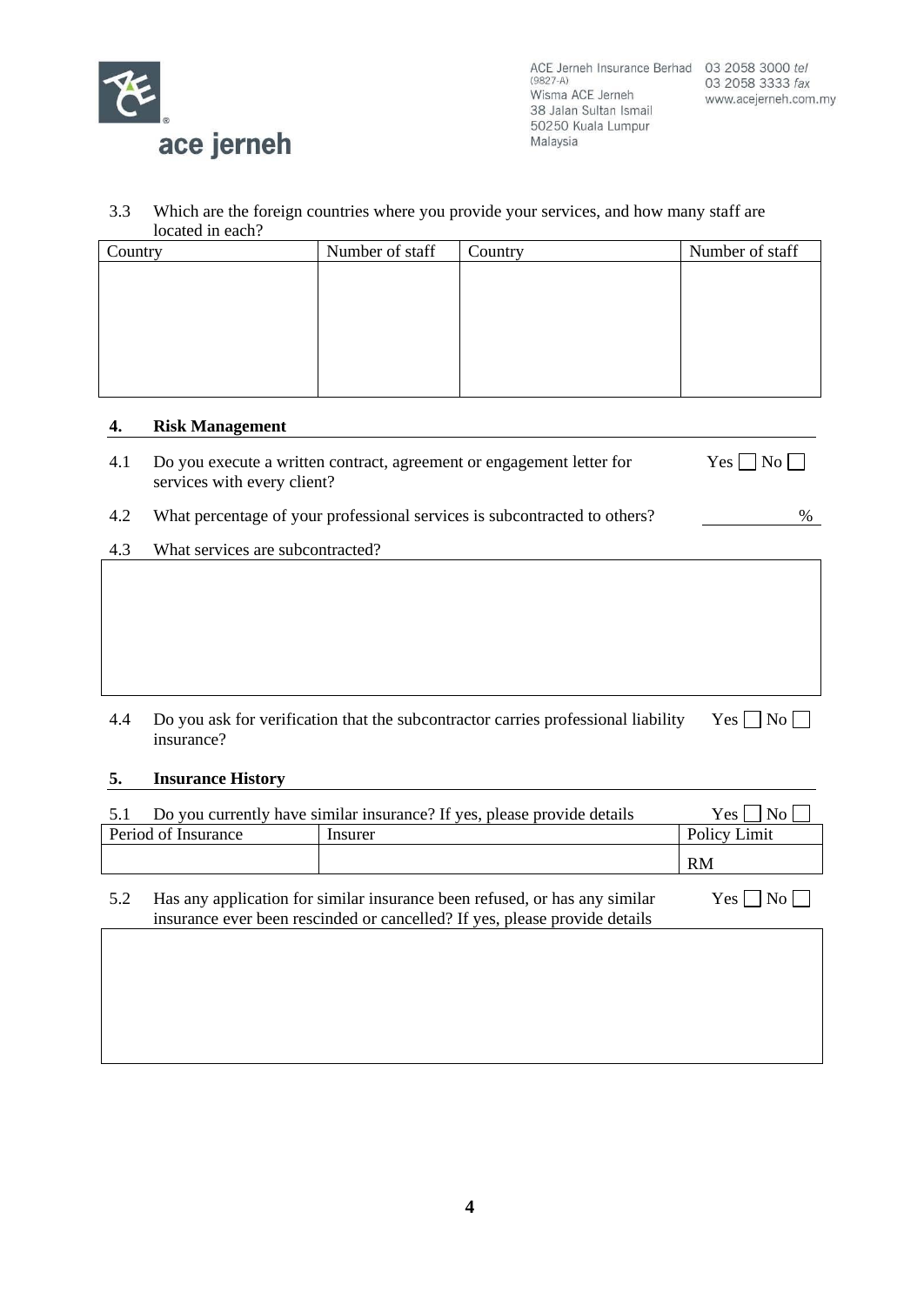

#### 3.3 Which are the foreign countries where you provide your services, and how many staff are located in each?

| rocatea in caen . |                 |         |                 |
|-------------------|-----------------|---------|-----------------|
| Country           | Number of staff | Country | Number of staff |
|                   |                 |         |                 |
|                   |                 |         |                 |
|                   |                 |         |                 |
|                   |                 |         |                 |
|                   |                 |         |                 |
|                   |                 |         |                 |
|                   |                 |         |                 |

## **4. Risk Management**

| 4.1 Do you execute a written contract, agreement or engagement letter for | $Yes \Box No \Box$ |
|---------------------------------------------------------------------------|--------------------|
| services with every client?                                               |                    |

## 4.2 What percentage of your professional services is subcontracted to others?  $\%$

## 4.3 What services are subcontracted?

| 4.4 Do you ask for verification that the subcontractor carries professional liability Yes $\Box$ No $\Box$ |  |
|------------------------------------------------------------------------------------------------------------|--|
| insurance?                                                                                                 |  |

## **5. Insurance History**

| Do you currently have similar insurance? If yes, please provide details | Yes <sub>1</sub><br>No |              |
|-------------------------------------------------------------------------|------------------------|--------------|
| Period of Insurance                                                     | Insurer                | Policy Limit |
|                                                                         |                        | <b>RM</b>    |

| 5.2 | Has any application for similar insurance been refused, or has any similar |
|-----|----------------------------------------------------------------------------|
|     | insurance ever been rescinded or cancelled? If yes, please provide details |

Yes  $\Box$  No  $\Box$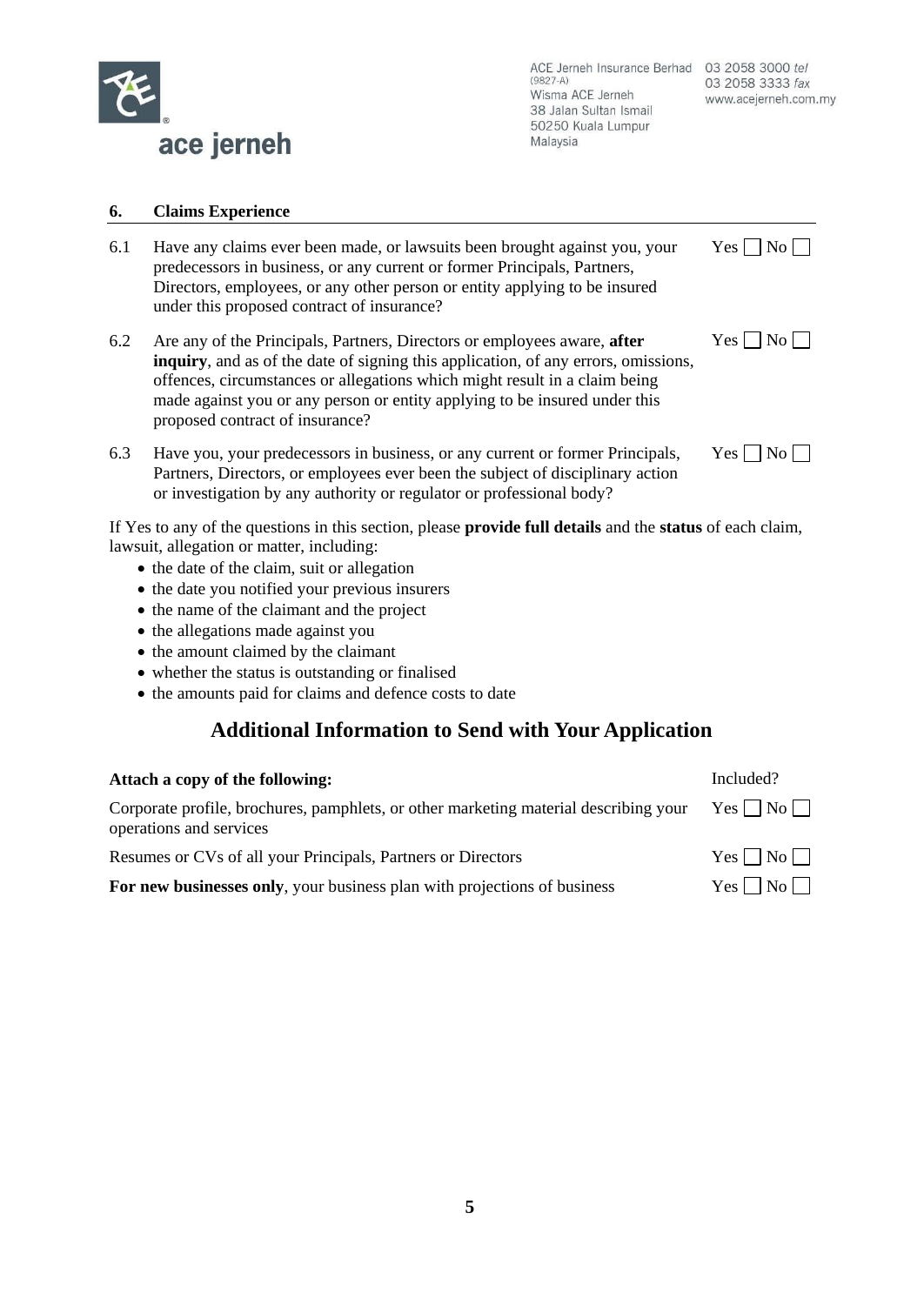

### **6. Claims Experience**

- 6.1 Have any claims ever been made, or lawsuits been brought against you, your predecessors in business, or any current or former Principals, Partners, Directors, employees, or any other person or entity applying to be insured under this proposed contract of insurance?
- 6.2 Are any of the Principals, Partners, Directors or employees aware, **after inquiry**, and as of the date of signing this application, of any errors, omissions, offences, circumstances or allegations which might result in a claim being made against you or any person or entity applying to be insured under this proposed contract of insurance?
- 6.3 Have you, your predecessors in business, or any current or former Principals, Partners, Directors, or employees ever been the subject of disciplinary action or investigation by any authority or regulator or professional body?

 $Yes \Box No \Box$ 

 $Yes \Box No \Box$ 

|  | c<br>л. |  |
|--|---------|--|
|--|---------|--|

If Yes to any of the questions in this section, please **provide full details** and the **status** of each claim, lawsuit, allegation or matter, including:

- the date of the claim, suit or allegation
- the date you notified your previous insurers
- the name of the claimant and the project
- the allegations made against you
- the amount claimed by the claimant
- whether the status is outstanding or finalised
- the amounts paid for claims and defence costs to date

# **Additional Information to Send with Your Application**

| Attach a copy of the following:                                                                                 | Included?          |
|-----------------------------------------------------------------------------------------------------------------|--------------------|
| Corporate profile, brochures, pamphlets, or other marketing material describing your<br>operations and services | $Yes \Box No \Box$ |
| Resumes or CVs of all your Principals, Partners or Directors                                                    | $Yes \Box No \Box$ |
| For new businesses only, your business plan with projections of business                                        | $Yes \Box No \Box$ |